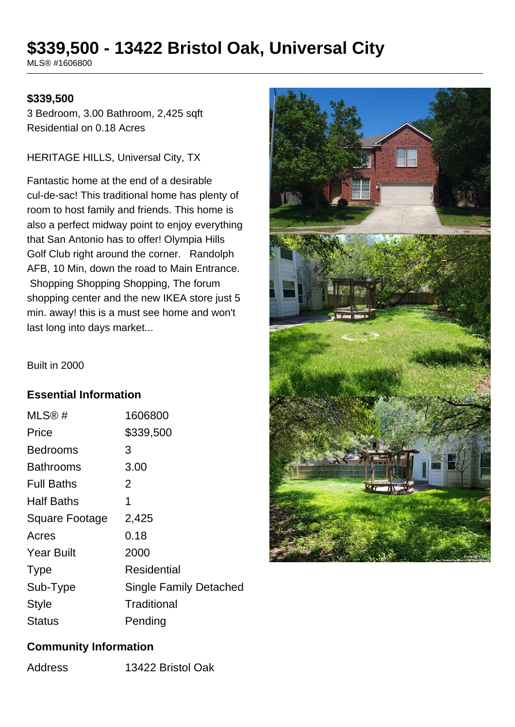# **\$339,500 - 13422 Bristol Oak, Universal City**

MLS® #1606800

#### **\$339,500**

3 Bedroom, 3.00 Bathroom, 2,425 sqft Residential on 0.18 Acres

#### HERITAGE HILLS, Universal City, TX

Fantastic home at the end of a desirable cul-de-sac! This traditional home has plenty of room to host family and friends. This home is also a perfect midway point to enjoy everything that San Antonio has to offer! Olympia Hills Golf Club right around the corner. Randolph AFB, 10 Min, down the road to Main Entrance. Shopping Shopping Shopping, The forum shopping center and the new IKEA store just 5 min. away! this is a must see home and won't last long into days market...

Built in 2000

## **Essential Information**

| MLS@#                 | 1606800                |
|-----------------------|------------------------|
| Price                 | \$339,500              |
| Bedrooms              | 3                      |
| Bathrooms             | 3.00                   |
| <b>Full Baths</b>     | 2                      |
| <b>Half Baths</b>     | 1                      |
| <b>Square Footage</b> | 2,425                  |
| Acres                 | 0.18                   |
| <b>Year Built</b>     | 2000                   |
| <b>Type</b>           | Residential            |
| Sub-Type              | Single Family Detached |
| Style                 | Traditional            |
| Status                | Pending                |



#### **Community Information**

Address 13422 Bristol Oak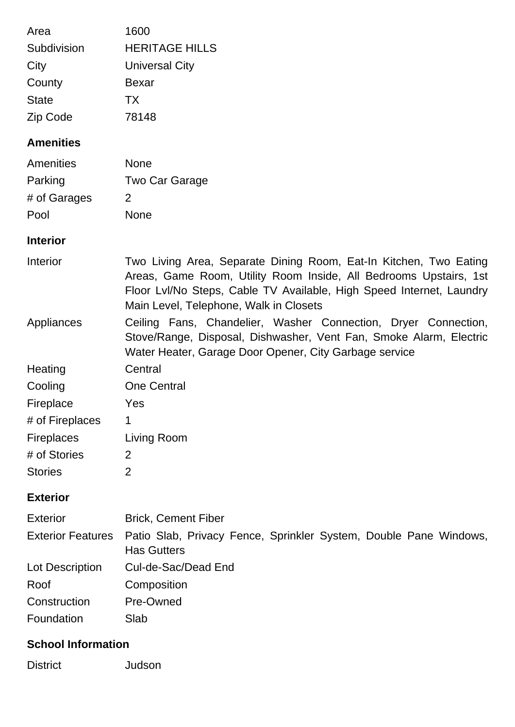| Area                      | 1600                                                                                                                                                                                                                                                     |
|---------------------------|----------------------------------------------------------------------------------------------------------------------------------------------------------------------------------------------------------------------------------------------------------|
| Subdivision               | <b>HERITAGE HILLS</b>                                                                                                                                                                                                                                    |
| City                      | <b>Universal City</b>                                                                                                                                                                                                                                    |
| County                    | <b>Bexar</b>                                                                                                                                                                                                                                             |
| <b>State</b>              | <b>TX</b>                                                                                                                                                                                                                                                |
| Zip Code                  | 78148                                                                                                                                                                                                                                                    |
| <b>Amenities</b>          |                                                                                                                                                                                                                                                          |
| Amenities                 | <b>None</b>                                                                                                                                                                                                                                              |
| Parking                   | Two Car Garage                                                                                                                                                                                                                                           |
| # of Garages              | $\overline{2}$                                                                                                                                                                                                                                           |
| Pool                      | <b>None</b>                                                                                                                                                                                                                                              |
| <b>Interior</b>           |                                                                                                                                                                                                                                                          |
| Interior                  | Two Living Area, Separate Dining Room, Eat-In Kitchen, Two Eating<br>Areas, Game Room, Utility Room Inside, All Bedrooms Upstairs, 1st<br>Floor Lvl/No Steps, Cable TV Available, High Speed Internet, Laundry<br>Main Level, Telephone, Walk in Closets |
| Appliances                | Ceiling Fans, Chandelier, Washer Connection, Dryer Connection,<br>Stove/Range, Disposal, Dishwasher, Vent Fan, Smoke Alarm, Electric<br>Water Heater, Garage Door Opener, City Garbage service                                                           |
| Heating                   | Central                                                                                                                                                                                                                                                  |
| Cooling                   | <b>One Central</b>                                                                                                                                                                                                                                       |
| Fireplace                 | Yes                                                                                                                                                                                                                                                      |
| # of Fireplaces           | 1                                                                                                                                                                                                                                                        |
| <b>Fireplaces</b>         | Living Room                                                                                                                                                                                                                                              |
| # of Stories              | 2                                                                                                                                                                                                                                                        |
| <b>Stories</b>            | $\overline{2}$                                                                                                                                                                                                                                           |
| <b>Exterior</b>           |                                                                                                                                                                                                                                                          |
| <b>Exterior</b>           | <b>Brick, Cement Fiber</b>                                                                                                                                                                                                                               |
| <b>Exterior Features</b>  | Patio Slab, Privacy Fence, Sprinkler System, Double Pane Windows,<br><b>Has Gutters</b>                                                                                                                                                                  |
| Lot Description           | Cul-de-Sac/Dead End                                                                                                                                                                                                                                      |
| Roof                      | Composition                                                                                                                                                                                                                                              |
| Construction              | Pre-Owned                                                                                                                                                                                                                                                |
| Foundation                | Slab                                                                                                                                                                                                                                                     |
| <b>School Information</b> |                                                                                                                                                                                                                                                          |

District Judson